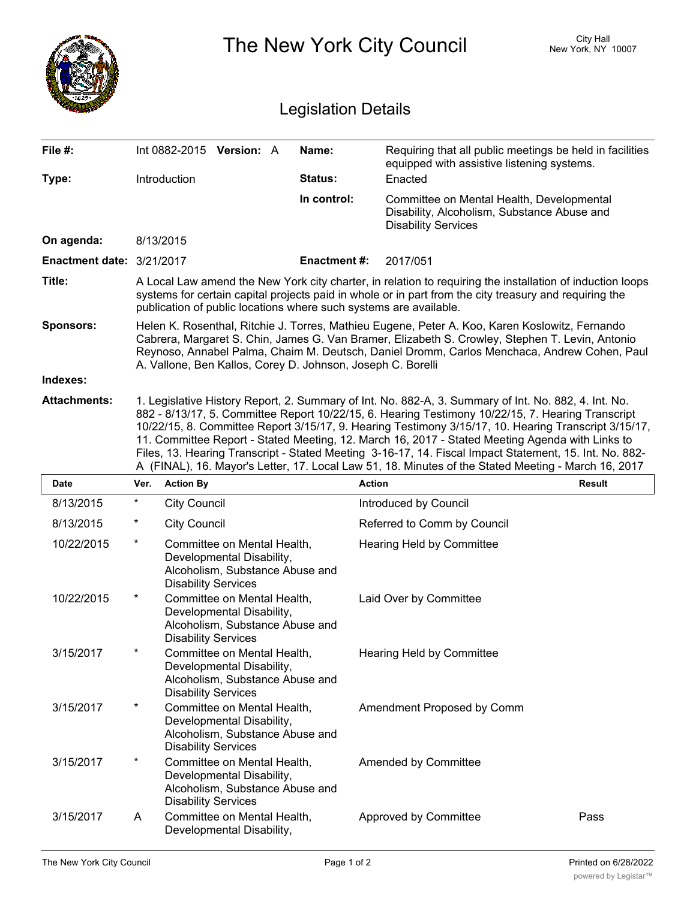|                            |                                                                                                                                                                                                                                                                                                                                                                                                                                                                                                                                                                                                                                       |                            |                                                                                             |  |                    | The New York City Council                                                                                              | City Hall<br>New York, NY 10007                          |  |  |
|----------------------------|---------------------------------------------------------------------------------------------------------------------------------------------------------------------------------------------------------------------------------------------------------------------------------------------------------------------------------------------------------------------------------------------------------------------------------------------------------------------------------------------------------------------------------------------------------------------------------------------------------------------------------------|----------------------------|---------------------------------------------------------------------------------------------|--|--------------------|------------------------------------------------------------------------------------------------------------------------|----------------------------------------------------------|--|--|
| <b>Legislation Details</b> |                                                                                                                                                                                                                                                                                                                                                                                                                                                                                                                                                                                                                                       |                            |                                                                                             |  |                    |                                                                                                                        |                                                          |  |  |
| File #:                    |                                                                                                                                                                                                                                                                                                                                                                                                                                                                                                                                                                                                                                       | Int 0882-2015 Version: A   |                                                                                             |  | Name:              | equipped with assistive listening systems.                                                                             | Requiring that all public meetings be held in facilities |  |  |
| Type:                      |                                                                                                                                                                                                                                                                                                                                                                                                                                                                                                                                                                                                                                       | Introduction               |                                                                                             |  | <b>Status:</b>     | Enacted                                                                                                                |                                                          |  |  |
|                            |                                                                                                                                                                                                                                                                                                                                                                                                                                                                                                                                                                                                                                       |                            |                                                                                             |  | In control:        | Committee on Mental Health, Developmental<br>Disability, Alcoholism, Substance Abuse and<br><b>Disability Services</b> |                                                          |  |  |
| On agenda:                 |                                                                                                                                                                                                                                                                                                                                                                                                                                                                                                                                                                                                                                       | 8/13/2015                  |                                                                                             |  |                    |                                                                                                                        |                                                          |  |  |
| Enactment date: 3/21/2017  |                                                                                                                                                                                                                                                                                                                                                                                                                                                                                                                                                                                                                                       |                            |                                                                                             |  | <b>Enactment#:</b> | 2017/051                                                                                                               |                                                          |  |  |
| Title:                     | A Local Law amend the New York city charter, in relation to requiring the installation of induction loops<br>systems for certain capital projects paid in whole or in part from the city treasury and requiring the<br>publication of public locations where such systems are available.                                                                                                                                                                                                                                                                                                                                              |                            |                                                                                             |  |                    |                                                                                                                        |                                                          |  |  |
| <b>Sponsors:</b>           | Helen K. Rosenthal, Ritchie J. Torres, Mathieu Eugene, Peter A. Koo, Karen Koslowitz, Fernando<br>Cabrera, Margaret S. Chin, James G. Van Bramer, Elizabeth S. Crowley, Stephen T. Levin, Antonio<br>Reynoso, Annabel Palma, Chaim M. Deutsch, Daniel Dromm, Carlos Menchaca, Andrew Cohen, Paul<br>A. Vallone, Ben Kallos, Corey D. Johnson, Joseph C. Borelli                                                                                                                                                                                                                                                                       |                            |                                                                                             |  |                    |                                                                                                                        |                                                          |  |  |
| Indexes:                   |                                                                                                                                                                                                                                                                                                                                                                                                                                                                                                                                                                                                                                       |                            |                                                                                             |  |                    |                                                                                                                        |                                                          |  |  |
| <b>Attachments:</b>        | 1. Legislative History Report, 2. Summary of Int. No. 882-A, 3. Summary of Int. No. 882, 4. Int. No.<br>882 - 8/13/17, 5. Committee Report 10/22/15, 6. Hearing Testimony 10/22/15, 7. Hearing Transcript<br>10/22/15, 8. Committee Report 3/15/17, 9. Hearing Testimony 3/15/17, 10. Hearing Transcript 3/15/17,<br>11. Committee Report - Stated Meeting, 12. March 16, 2017 - Stated Meeting Agenda with Links to<br>Files, 13. Hearing Transcript - Stated Meeting 3-16-17, 14. Fiscal Impact Statement, 15. Int. No. 882-<br>A (FINAL), 16. Mayor's Letter, 17. Local Law 51, 18. Minutes of the Stated Meeting - March 16, 2017 |                            |                                                                                             |  |                    |                                                                                                                        |                                                          |  |  |
| <b>Date</b>                | Ver.                                                                                                                                                                                                                                                                                                                                                                                                                                                                                                                                                                                                                                  | <b>Action By</b>           |                                                                                             |  |                    | <b>Action</b>                                                                                                          | <b>Result</b>                                            |  |  |
| 8/13/2015                  | $\ast$                                                                                                                                                                                                                                                                                                                                                                                                                                                                                                                                                                                                                                | <b>City Council</b>        |                                                                                             |  |                    | Introduced by Council                                                                                                  |                                                          |  |  |
| 8/13/2015                  | *                                                                                                                                                                                                                                                                                                                                                                                                                                                                                                                                                                                                                                     | <b>City Council</b>        |                                                                                             |  |                    | Referred to Comm by Council                                                                                            |                                                          |  |  |
| 10/22/2015                 | $^\star$                                                                                                                                                                                                                                                                                                                                                                                                                                                                                                                                                                                                                              | <b>Disability Services</b> | Committee on Mental Health,<br>Developmental Disability,<br>Alcoholism, Substance Abuse and |  |                    | Hearing Held by Committee                                                                                              |                                                          |  |  |
| 10/22/2015                 | *                                                                                                                                                                                                                                                                                                                                                                                                                                                                                                                                                                                                                                     | <b>Disability Services</b> | Committee on Mental Health,<br>Developmental Disability,<br>Alcoholism, Substance Abuse and |  |                    | Laid Over by Committee                                                                                                 |                                                          |  |  |
| 3/15/2017                  | *                                                                                                                                                                                                                                                                                                                                                                                                                                                                                                                                                                                                                                     | <b>Disability Services</b> | Committee on Mental Health,<br>Developmental Disability,<br>Alcoholism, Substance Abuse and |  |                    | Hearing Held by Committee                                                                                              |                                                          |  |  |
| 3/15/2017                  | $^\star$                                                                                                                                                                                                                                                                                                                                                                                                                                                                                                                                                                                                                              | <b>Disability Services</b> | Committee on Mental Health,<br>Developmental Disability,<br>Alcoholism, Substance Abuse and |  |                    | Amendment Proposed by Comm                                                                                             |                                                          |  |  |
| 3/15/2017                  | $^\star$                                                                                                                                                                                                                                                                                                                                                                                                                                                                                                                                                                                                                              | <b>Disability Services</b> | Committee on Mental Health,<br>Developmental Disability,<br>Alcoholism, Substance Abuse and |  |                    | Amended by Committee                                                                                                   |                                                          |  |  |
| 3/15/2017                  | A                                                                                                                                                                                                                                                                                                                                                                                                                                                                                                                                                                                                                                     |                            | Committee on Mental Health,<br>Developmental Disability,                                    |  |                    | Approved by Committee                                                                                                  | Pass                                                     |  |  |

Disability Services